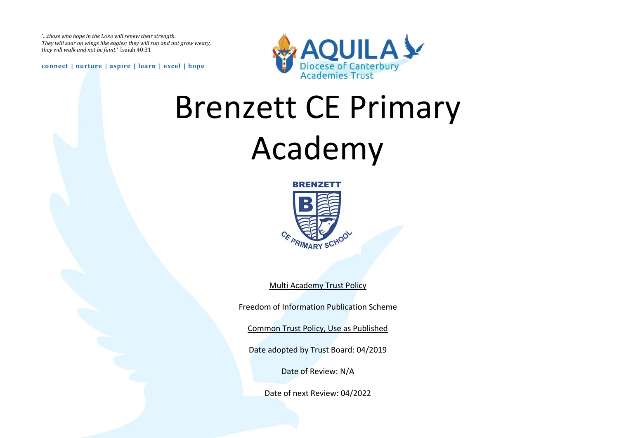*'…those who hope in the LORD will renew their strength. They will soar on wings like eagles; they will run and not grow weary, they will walk and not be faint.'* Isaiah 40:31

**connect | nurture | aspire | learn | excel | hope**



# Brenzett CE Primary Academy



Multi Academy Trust Policy

Freedom of Information Publication Scheme

Common Trust Policy, Use as Published

Date adopted by Trust Board: 04/2019

Date of Review: N/A

Date of next Review: 04/2022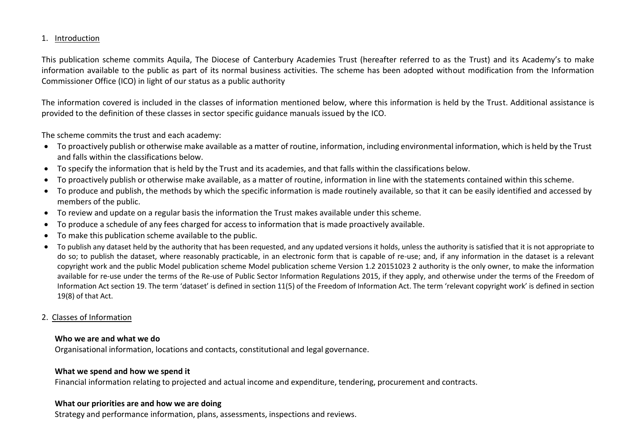# 1. Introduction

This publication scheme commits Aquila, The Diocese of Canterbury Academies Trust (hereafter referred to as the Trust) and its Academy's to make information available to the public as part of its normal business activities. The scheme has been adopted without modification from the Information Commissioner Office (ICO) in light of our status as a public authority

The information covered is included in the classes of information mentioned below, where this information is held by the Trust. Additional assistance is provided to the definition of these classes in sector specific guidance manuals issued by the ICO.

The scheme commits the trust and each academy:

- To proactively publish or otherwise make available as a matter of routine, information, including environmental information, which is held by the Trust and falls within the classifications below.
- To specify the information that is held by the Trust and its academies, and that falls within the classifications below.
- To proactively publish or otherwise make available, as a matter of routine, information in line with the statements contained within this scheme.
- To produce and publish, the methods by which the specific information is made routinely available, so that it can be easily identified and accessed by members of the public.
- To review and update on a regular basis the information the Trust makes available under this scheme.
- To produce a schedule of any fees charged for access to information that is made proactively available.
- To make this publication scheme available to the public.
- To publish any dataset held by the authority that has been requested, and any updated versions it holds, unless the authority is satisfied that it is not appropriate to do so; to publish the dataset, where reasonably practicable, in an electronic form that is capable of re-use; and, if any information in the dataset is a relevant copyright work and the public Model publication scheme Model publication scheme Version 1.2 20151023 2 authority is the only owner, to make the information available for re-use under the terms of the Re-use of Public Sector Information Regulations 2015, if they apply, and otherwise under the terms of the Freedom of Information Act section 19. The term 'dataset' is defined in section 11(5) of the Freedom of Information Act. The term 'relevant copyright work' is defined in section 19(8) of that Act.

#### 2. Classes of Information

#### **Who we are and what we do**

Organisational information, locations and contacts, constitutional and legal governance.

#### **What we spend and how we spend it**

Financial information relating to projected and actual income and expenditure, tendering, procurement and contracts.

#### **What our priorities are and how we are doing**

Strategy and performance information, plans, assessments, inspections and reviews.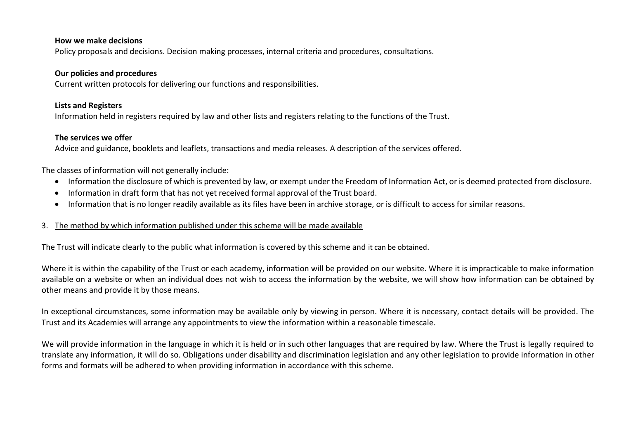#### **How we make decisions**

Policy proposals and decisions. Decision making processes, internal criteria and procedures, consultations.

#### **Our policies and procedures**

Current written protocols for delivering our functions and responsibilities.

### **Lists and Registers**

Information held in registers required by law and other lists and registers relating to the functions of the Trust.

# **The services we offer**

Advice and guidance, booklets and leaflets, transactions and media releases. A description of the services offered.

The classes of information will not generally include:

- Information the disclosure of which is prevented by law, or exempt under the Freedom of Information Act, or is deemed protected from disclosure.
- Information in draft form that has not yet received formal approval of the Trust board.
- Information that is no longer readily available as its files have been in archive storage, or is difficult to access for similar reasons.

# 3. The method by which information published under this scheme will be made available

The Trust will indicate clearly to the public what information is covered by this scheme and it can be obtained.

Where it is within the capability of the Trust or each academy, information will be provided on our website. Where it is impracticable to make information available on a website or when an individual does not wish to access the information by the website, we will show how information can be obtained by other means and provide it by those means.

In exceptional circumstances, some information may be available only by viewing in person. Where it is necessary, contact details will be provided. The Trust and its Academies will arrange any appointments to view the information within a reasonable timescale.

We will provide information in the language in which it is held or in such other languages that are required by law. Where the Trust is legally required to translate any information, it will do so. Obligations under disability and discrimination legislation and any other legislation to provide information in other forms and formats will be adhered to when providing information in accordance with this scheme.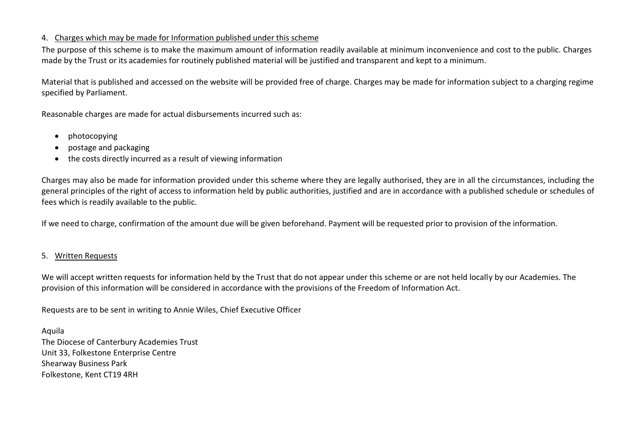# 4. Charges which may be made for Information published under this scheme

The purpose of this scheme is to make the maximum amount of information readily available at minimum inconvenience and cost to the public. Charges made by the Trust or its academies for routinely published material will be justified and transparent and kept to a minimum.

Material that is published and accessed on the website will be provided free of charge. Charges may be made for information subject to a charging regime specified by Parliament.

Reasonable charges are made for actual disbursements incurred such as:

- photocopying
- postage and packaging
- the costs directly incurred as a result of viewing information

Charges may also be made for information provided under this scheme where they are legally authorised, they are in all the circumstances, including the general principles of the right of access to information held by public authorities, justified and are in accordance with a published schedule or schedules of fees which is readily available to the public.

If we need to charge, confirmation of the amount due will be given beforehand. Payment will be requested prior to provision of the information.

# 5. Written Requests

We will accept written requests for information held by the Trust that do not appear under this scheme or are not held locally by our Academies. The provision of this information will be considered in accordance with the provisions of the Freedom of Information Act.

Requests are to be sent in writing to Annie Wiles, Chief Executive Officer

Aquila The Diocese of Canterbury Academies Trust Unit 33, Folkestone Enterprise Centre Shearway Business Park Folkestone, Kent CT19 4RH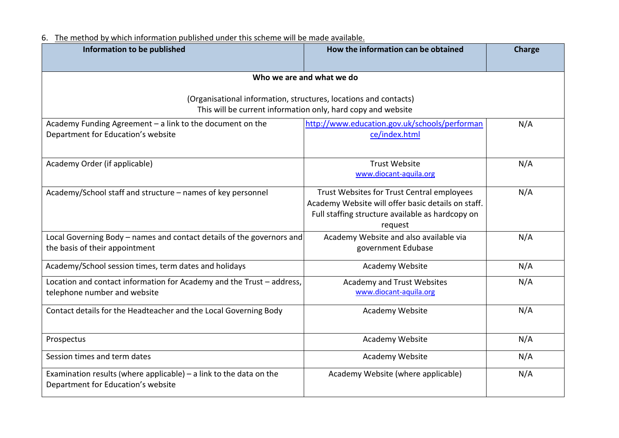6. The method by which information published under this scheme will be made available.

| Information to be published                                                                                | How the information can be obtained                                                                                                                             | Charge |
|------------------------------------------------------------------------------------------------------------|-----------------------------------------------------------------------------------------------------------------------------------------------------------------|--------|
|                                                                                                            | Who we are and what we do                                                                                                                                       |        |
| (Organisational information, structures, locations and contacts)                                           | This will be current information only, hard copy and website                                                                                                    |        |
| Academy Funding Agreement - a link to the document on the<br>Department for Education's website            | http://www.education.gov.uk/schools/performan<br>ce/index.html                                                                                                  | N/A    |
| Academy Order (if applicable)                                                                              | <b>Trust Website</b><br>www.diocant-aquila.org                                                                                                                  | N/A    |
| Academy/School staff and structure - names of key personnel                                                | Trust Websites for Trust Central employees<br>Academy Website will offer basic details on staff.<br>Full staffing structure available as hardcopy on<br>request | N/A    |
| Local Governing Body - names and contact details of the governors and<br>the basis of their appointment    | Academy Website and also available via<br>government Edubase                                                                                                    | N/A    |
| Academy/School session times, term dates and holidays                                                      | Academy Website                                                                                                                                                 | N/A    |
| Location and contact information for Academy and the Trust - address,<br>telephone number and website      | Academy and Trust Websites<br>www.diocant-aquila.org                                                                                                            | N/A    |
| Contact details for the Headteacher and the Local Governing Body                                           | Academy Website                                                                                                                                                 | N/A    |
| Prospectus                                                                                                 | Academy Website                                                                                                                                                 | N/A    |
| Session times and term dates                                                                               | Academy Website                                                                                                                                                 | N/A    |
| Examination results (where applicable) $-$ a link to the data on the<br>Department for Education's website | Academy Website (where applicable)                                                                                                                              | N/A    |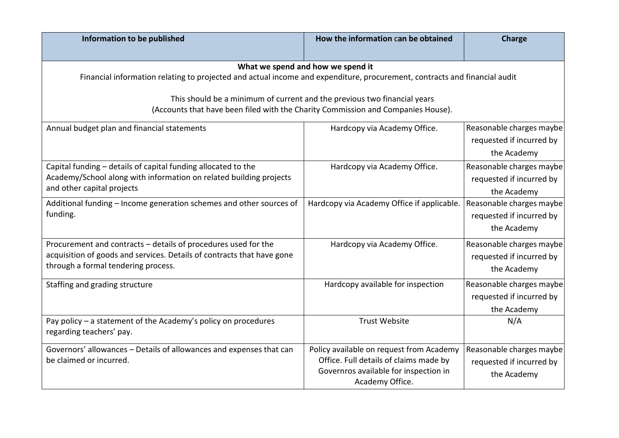| Information to be published                                                                                                                                                                                                                                                                                                    | How the information can be obtained                                                                                                            | Charge                                                              |  |
|--------------------------------------------------------------------------------------------------------------------------------------------------------------------------------------------------------------------------------------------------------------------------------------------------------------------------------|------------------------------------------------------------------------------------------------------------------------------------------------|---------------------------------------------------------------------|--|
| What we spend and how we spend it<br>Financial information relating to projected and actual income and expenditure, procurement, contracts and financial audit<br>This should be a minimum of current and the previous two financial years<br>(Accounts that have been filed with the Charity Commission and Companies House). |                                                                                                                                                |                                                                     |  |
| Annual budget plan and financial statements                                                                                                                                                                                                                                                                                    | Hardcopy via Academy Office.                                                                                                                   | Reasonable charges maybe<br>requested if incurred by<br>the Academy |  |
| Capital funding - details of capital funding allocated to the<br>Academy/School along with information on related building projects<br>and other capital projects                                                                                                                                                              | Hardcopy via Academy Office.                                                                                                                   | Reasonable charges maybe<br>requested if incurred by<br>the Academy |  |
| Additional funding - Income generation schemes and other sources of<br>funding.                                                                                                                                                                                                                                                | Hardcopy via Academy Office if applicable.                                                                                                     | Reasonable charges maybe<br>requested if incurred by<br>the Academy |  |
| Procurement and contracts - details of procedures used for the<br>acquisition of goods and services. Details of contracts that have gone<br>through a formal tendering process.                                                                                                                                                | Hardcopy via Academy Office.                                                                                                                   | Reasonable charges maybe<br>requested if incurred by<br>the Academy |  |
| Staffing and grading structure                                                                                                                                                                                                                                                                                                 | Hardcopy available for inspection                                                                                                              | Reasonable charges maybe<br>requested if incurred by<br>the Academy |  |
| Pay policy - a statement of the Academy's policy on procedures<br>regarding teachers' pay.                                                                                                                                                                                                                                     | <b>Trust Website</b>                                                                                                                           | N/A                                                                 |  |
| Governors' allowances - Details of allowances and expenses that can<br>be claimed or incurred.                                                                                                                                                                                                                                 | Policy available on request from Academy<br>Office. Full details of claims made by<br>Governros available for inspection in<br>Academy Office. | Reasonable charges maybe<br>requested if incurred by<br>the Academy |  |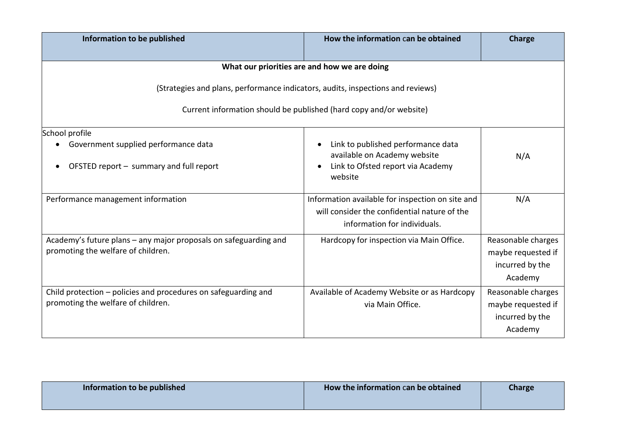| Information to be published                                                                                                                           | How the information can be obtained                                                                                              | Charge                                                                 |  |
|-------------------------------------------------------------------------------------------------------------------------------------------------------|----------------------------------------------------------------------------------------------------------------------------------|------------------------------------------------------------------------|--|
|                                                                                                                                                       | What our priorities are and how we are doing                                                                                     |                                                                        |  |
| (Strategies and plans, performance indicators, audits, inspections and reviews)<br>Current information should be published (hard copy and/or website) |                                                                                                                                  |                                                                        |  |
| School profile<br>Government supplied performance data<br>OFSTED report - summary and full report                                                     | Link to published performance data<br>available on Academy website<br>Link to Ofsted report via Academy<br>website               | N/A                                                                    |  |
| Performance management information                                                                                                                    | Information available for inspection on site and<br>will consider the confidential nature of the<br>information for individuals. | N/A                                                                    |  |
| Academy's future plans – any major proposals on safeguarding and<br>promoting the welfare of children.                                                | Hardcopy for inspection via Main Office.                                                                                         | Reasonable charges<br>maybe requested if<br>incurred by the<br>Academy |  |
| Child protection - policies and procedures on safeguarding and<br>promoting the welfare of children.                                                  | Available of Academy Website or as Hardcopy<br>via Main Office.                                                                  | Reasonable charges<br>maybe requested if<br>incurred by the<br>Academy |  |

| Information to be published | How the information can be obtained | <b>Charge</b> |
|-----------------------------|-------------------------------------|---------------|
|                             |                                     |               |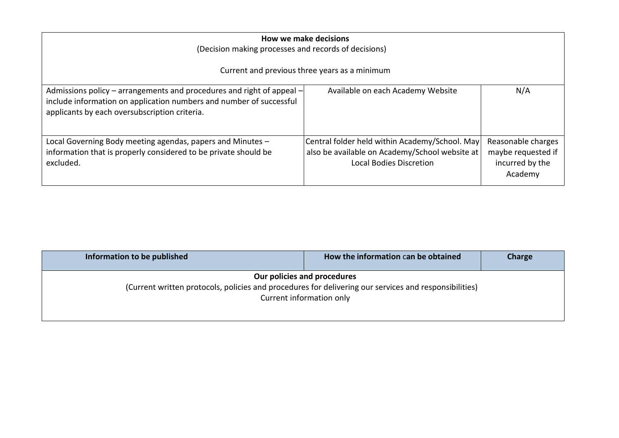| How we make decisions<br>(Decision making processes and records of decisions)                                                                                                                 |                                                                                                                                    |                                                                        |
|-----------------------------------------------------------------------------------------------------------------------------------------------------------------------------------------------|------------------------------------------------------------------------------------------------------------------------------------|------------------------------------------------------------------------|
| Current and previous three years as a minimum                                                                                                                                                 |                                                                                                                                    |                                                                        |
| Admissions policy – arrangements and procedures and right of appeal –<br>include information on application numbers and number of successful<br>applicants by each oversubscription criteria. | Available on each Academy Website                                                                                                  | N/A                                                                    |
| Local Governing Body meeting agendas, papers and Minutes -<br>information that is properly considered to be private should be<br>excluded.                                                    | Central folder held within Academy/School. May<br>also be available on Academy/School website at<br><b>Local Bodies Discretion</b> | Reasonable charges<br>maybe requested if<br>incurred by the<br>Academy |

| Information to be published                                                                           | How the information can be obtained                     | Charge |
|-------------------------------------------------------------------------------------------------------|---------------------------------------------------------|--------|
| (Current written protocols, policies and procedures for delivering our services and responsibilities) | Our policies and procedures<br>Current information only |        |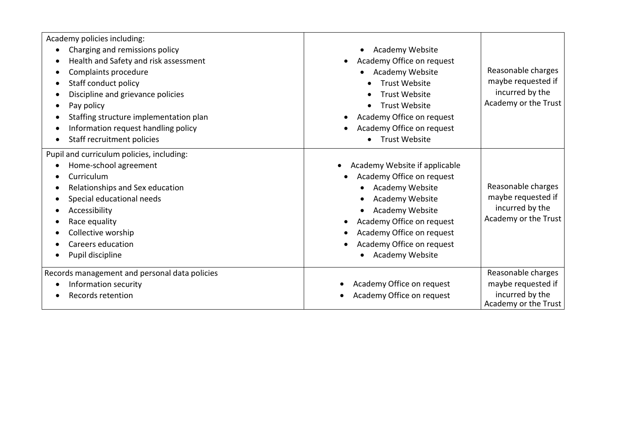| Academy policies including:                                                                                                                                                                                                                       |                                                                                                                                                                                                                                                         |                                                                                     |
|---------------------------------------------------------------------------------------------------------------------------------------------------------------------------------------------------------------------------------------------------|---------------------------------------------------------------------------------------------------------------------------------------------------------------------------------------------------------------------------------------------------------|-------------------------------------------------------------------------------------|
| Charging and remissions policy<br>Health and Safety and risk assessment<br>Complaints procedure<br>Staff conduct policy<br>Discipline and grievance policies<br>Pay policy                                                                        | Academy Website<br>$\bullet$<br>Academy Office on request<br>Academy Website<br><b>Trust Website</b><br><b>Trust Website</b><br><b>Trust Website</b>                                                                                                    | Reasonable charges<br>maybe requested if<br>incurred by the<br>Academy or the Trust |
| Staffing structure implementation plan<br>Information request handling policy<br>Staff recruitment policies                                                                                                                                       | Academy Office on request<br>Academy Office on request<br><b>Trust Website</b>                                                                                                                                                                          |                                                                                     |
| Pupil and curriculum policies, including:<br>Home-school agreement<br>Curriculum<br>Relationships and Sex education<br>Special educational needs<br>Accessibility<br>Race equality<br>Collective worship<br>Careers education<br>Pupil discipline | Academy Website if applicable<br>Academy Office on request<br>Academy Website<br>Academy Website<br>Academy Website<br>$\bullet$<br>Academy Office on request<br>Academy Office on request<br>Academy Office on request<br>Academy Website<br>$\bullet$ | Reasonable charges<br>maybe requested if<br>incurred by the<br>Academy or the Trust |
| Records management and personal data policies<br>Information security<br>Records retention                                                                                                                                                        | Academy Office on request<br>Academy Office on request                                                                                                                                                                                                  | Reasonable charges<br>maybe requested if<br>incurred by the<br>Academy or the Trust |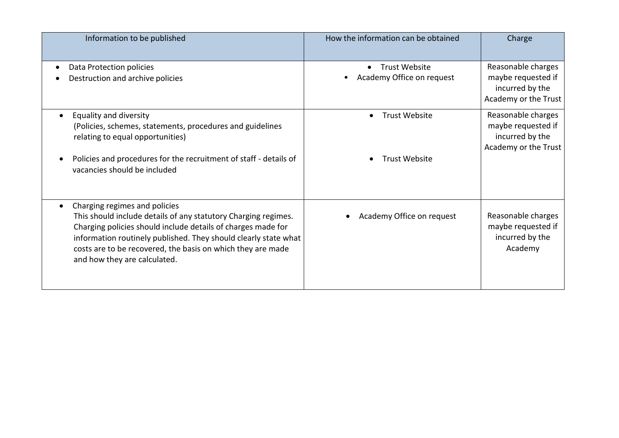| Information to be published                                                                                                                                                                                                                                                                                                       | How the information can be obtained                            | Charge                                                                              |
|-----------------------------------------------------------------------------------------------------------------------------------------------------------------------------------------------------------------------------------------------------------------------------------------------------------------------------------|----------------------------------------------------------------|-------------------------------------------------------------------------------------|
| Data Protection policies<br>Destruction and archive policies                                                                                                                                                                                                                                                                      | <b>Trust Website</b><br>$\bullet$<br>Academy Office on request | Reasonable charges<br>maybe requested if<br>incurred by the<br>Academy or the Trust |
| Equality and diversity<br>(Policies, schemes, statements, procedures and guidelines<br>relating to equal opportunities)<br>Policies and procedures for the recruitment of staff - details of<br>vacancies should be included                                                                                                      | <b>Trust Website</b><br>$\bullet$<br><b>Trust Website</b>      | Reasonable charges<br>maybe requested if<br>incurred by the<br>Academy or the Trust |
| Charging regimes and policies<br>This should include details of any statutory Charging regimes.<br>Charging policies should include details of charges made for<br>information routinely published. They should clearly state what<br>costs are to be recovered, the basis on which they are made<br>and how they are calculated. | Academy Office on request                                      | Reasonable charges<br>maybe requested if<br>incurred by the<br>Academy              |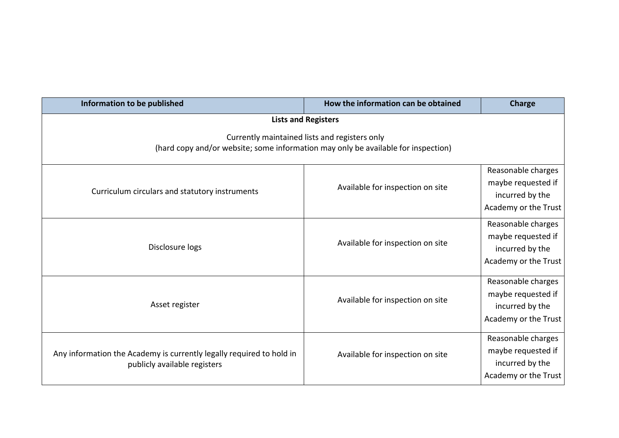| Information to be published                                                                                                        | How the information can be obtained | <b>Charge</b>                                                                       |
|------------------------------------------------------------------------------------------------------------------------------------|-------------------------------------|-------------------------------------------------------------------------------------|
| <b>Lists and Registers</b>                                                                                                         |                                     |                                                                                     |
| Currently maintained lists and registers only<br>(hard copy and/or website; some information may only be available for inspection) |                                     |                                                                                     |
| Curriculum circulars and statutory instruments                                                                                     | Available for inspection on site    | Reasonable charges<br>maybe requested if<br>incurred by the<br>Academy or the Trust |
| Disclosure logs                                                                                                                    | Available for inspection on site    | Reasonable charges<br>maybe requested if<br>incurred by the<br>Academy or the Trust |
| Asset register                                                                                                                     | Available for inspection on site    | Reasonable charges<br>maybe requested if<br>incurred by the<br>Academy or the Trust |
| Any information the Academy is currently legally required to hold in<br>publicly available registers                               | Available for inspection on site    | Reasonable charges<br>maybe requested if<br>incurred by the<br>Academy or the Trust |